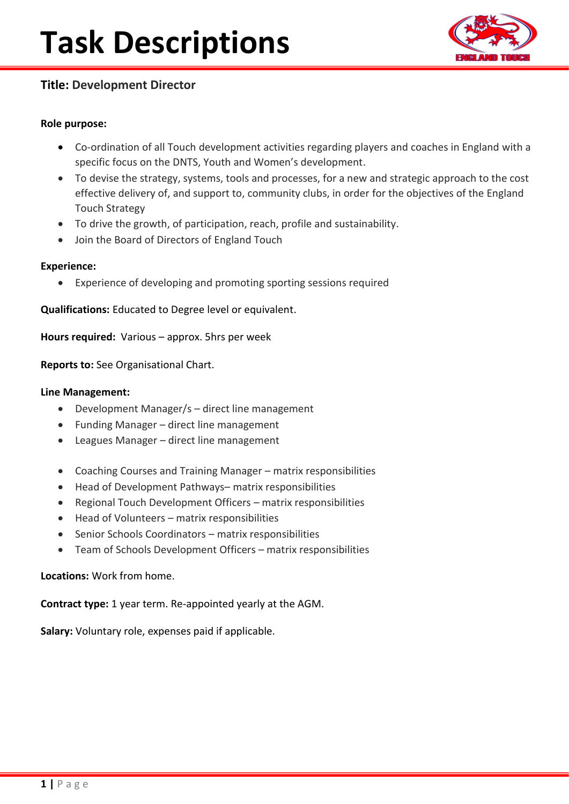

## **Title: Development Director**

#### **Role purpose:**

- Co-ordination of all Touch development activities regarding players and coaches in England with a specific focus on the DNTS, Youth and Women's development.
- To devise the strategy, systems, tools and processes, for a new and strategic approach to the cost effective delivery of, and support to, community clubs, in order for the objectives of the England Touch Strategy
- To drive the growth, of participation, reach, profile and sustainability.
- Join the Board of Directors of England Touch

#### **Experience:**

• Experience of developing and promoting sporting sessions required

**Qualifications:** Educated to Degree level or equivalent.

**Hours required:** Various – approx. 5hrs per week

**Reports to:** See Organisational Chart.

#### **Line Management:**

- Development Manager/s direct line management
- Funding Manager direct line management
- Leagues Manager direct line management
- Coaching Courses and Training Manager matrix responsibilities
- Head of Development Pathways– matrix responsibilities
- Regional Touch Development Officers matrix responsibilities
- Head of Volunteers matrix responsibilities
- Senior Schools Coordinators matrix responsibilities
- Team of Schools Development Officers matrix responsibilities

#### **Locations:** Work from home.

**Contract type:** 1 year term. Re-appointed yearly at the AGM.

**Salary:** Voluntary role, expenses paid if applicable.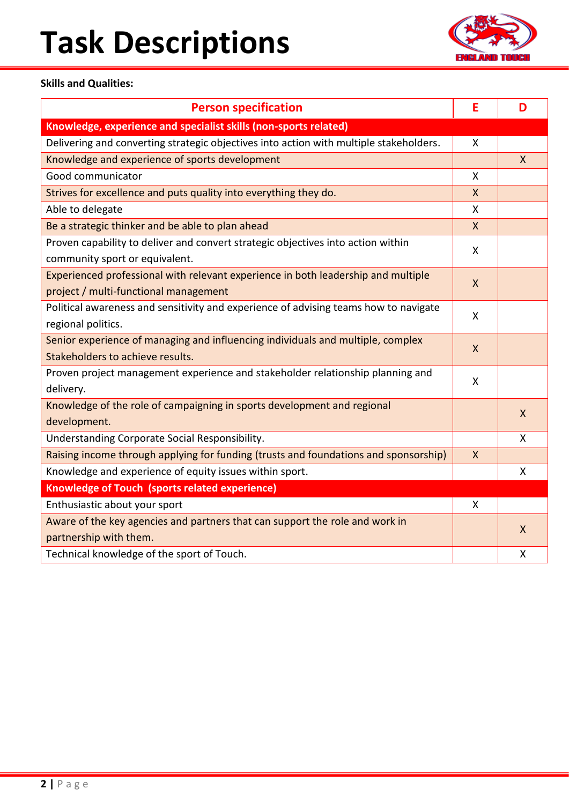# **Task Descriptions**



### **Skills and Qualities:**

| <b>Person specification</b>                                                                                                | E            | D            |  |
|----------------------------------------------------------------------------------------------------------------------------|--------------|--------------|--|
| Knowledge, experience and specialist skills (non-sports related)                                                           |              |              |  |
| Delivering and converting strategic objectives into action with multiple stakeholders.                                     | $\mathsf{X}$ |              |  |
| Knowledge and experience of sports development                                                                             |              | $\mathsf{X}$ |  |
| Good communicator                                                                                                          | X            |              |  |
| Strives for excellence and puts quality into everything they do.                                                           | $\mathsf{X}$ |              |  |
| Able to delegate                                                                                                           | $\mathsf{x}$ |              |  |
| Be a strategic thinker and be able to plan ahead                                                                           | $\mathsf{X}$ |              |  |
| Proven capability to deliver and convert strategic objectives into action within                                           | X            |              |  |
| community sport or equivalent.                                                                                             |              |              |  |
| Experienced professional with relevant experience in both leadership and multiple<br>project / multi-functional management | $\mathsf{X}$ |              |  |
| Political awareness and sensitivity and experience of advising teams how to navigate                                       |              |              |  |
| regional politics.                                                                                                         | X            |              |  |
| Senior experience of managing and influencing individuals and multiple, complex                                            |              |              |  |
| Stakeholders to achieve results.                                                                                           | $\mathsf{X}$ |              |  |
| Proven project management experience and stakeholder relationship planning and                                             | X            |              |  |
| delivery.                                                                                                                  |              |              |  |
| Knowledge of the role of campaigning in sports development and regional                                                    |              | $\mathsf{x}$ |  |
| development.                                                                                                               |              |              |  |
| Understanding Corporate Social Responsibility.                                                                             |              | $\mathsf{x}$ |  |
| Raising income through applying for funding (trusts and foundations and sponsorship)                                       | X            |              |  |
| Knowledge and experience of equity issues within sport.                                                                    |              | X            |  |
| Knowledge of Touch (sports related experience)                                                                             |              |              |  |
| Enthusiastic about your sport                                                                                              | X            |              |  |
| Aware of the key agencies and partners that can support the role and work in                                               |              | X            |  |
| partnership with them.                                                                                                     |              |              |  |
| Technical knowledge of the sport of Touch.                                                                                 |              | X            |  |